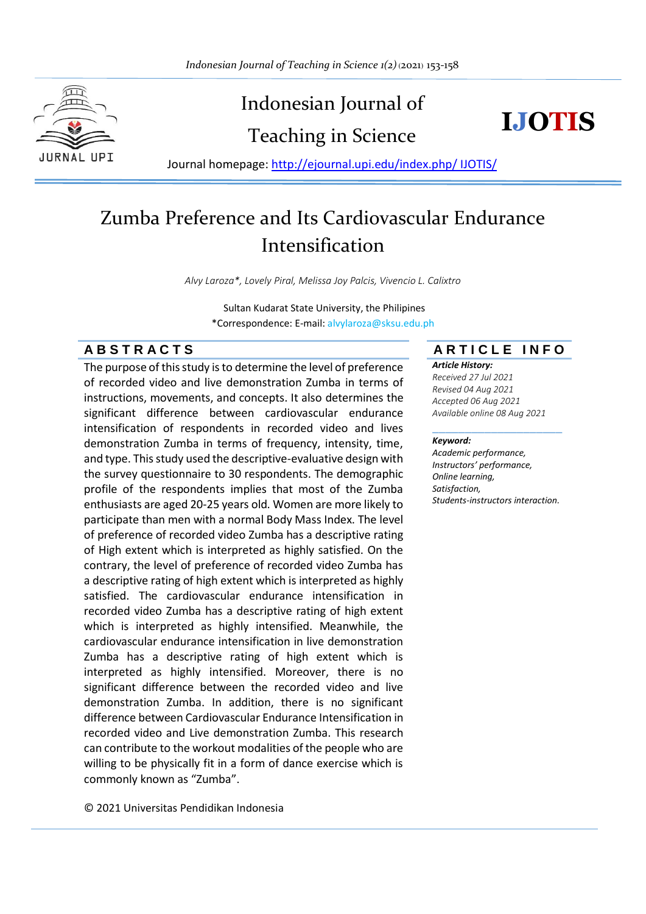

# Indonesian Journal of Teaching in Science



Journal homepage: [http://ejournal.upi.edu/index.php/ IJOTIS/](http://ejournal.upi.edu/index.php/%20IJOTIS/)

# Zumba Preference and Its Cardiovascular Endurance Intensification

*Alvy Laroza\*, Lovely Piral, Melissa Joy Palcis, Vivencio L. Calixtro*

Sultan Kudarat State University, the Philipines \*Correspondence: E-mail: alvylaroza@sksu.edu.ph

The purpose of this study is to determine the level of preference of recorded video and live demonstration Zumba in terms of instructions, movements, and concepts. It also determines the significant difference between cardiovascular endurance intensification of respondents in recorded video and lives demonstration Zumba in terms of frequency, intensity, time, and type. This study used the descriptive-evaluative design with the survey questionnaire to 30 respondents. The demographic profile of the respondents implies that most of the Zumba enthusiasts are aged 20-25 years old. Women are more likely to participate than men with a normal Body Mass Index. The level of preference of recorded video Zumba has a descriptive rating of High extent which is interpreted as highly satisfied. On the contrary, the level of preference of recorded video Zumba has a descriptive rating of high extent which is interpreted as highly satisfied. The cardiovascular endurance intensification in recorded video Zumba has a descriptive rating of high extent which is interpreted as highly intensified. Meanwhile, the cardiovascular endurance intensification in live demonstration Zumba has a descriptive rating of high extent which is interpreted as highly intensified. Moreover, there is no significant difference between the recorded video and live demonstration Zumba. In addition, there is no significant difference between Cardiovascular Endurance Intensification in recorded video and Live demonstration Zumba. This research can contribute to the workout modalities of the people who are willing to be physically fit in a form of dance exercise which is commonly known as "Zumba".

# **A B S T R A C T S A R T I C L E I N F O**

### *Article History:*

*Received 27 Jul 2021 Revised 04 Aug 2021 Accepted 06 Aug 2021 Available online 08 Aug 2021*

#### \_\_\_\_\_\_\_\_\_\_\_\_\_\_\_\_\_\_\_\_ *Keyword:*

*Academic performance, Instructors' performance, Online learning, Satisfaction, Students-instructors interaction.*

© 2021 Universitas Pendidikan Indonesia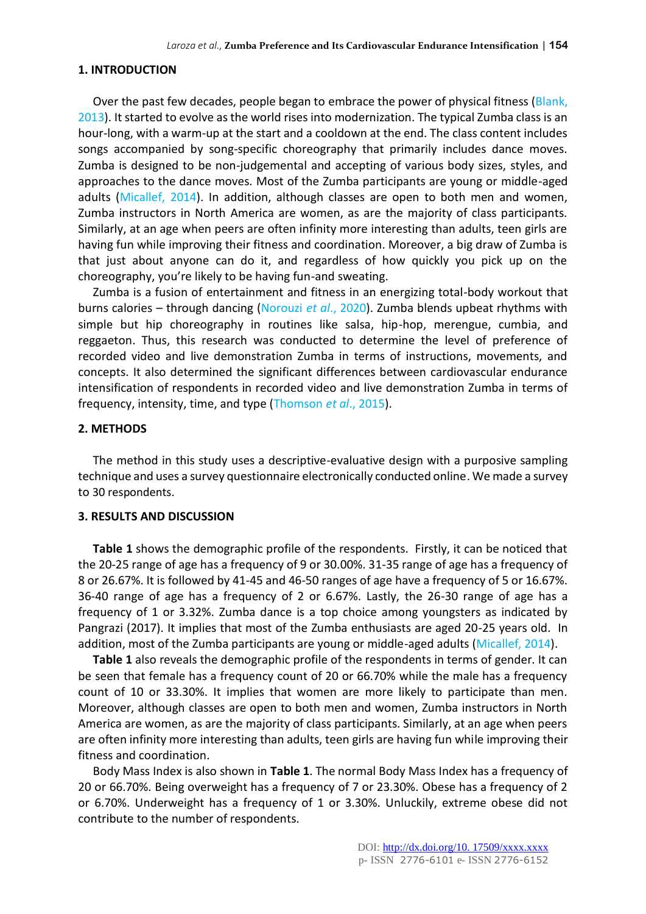#### **1. INTRODUCTION**

Over the past few decades, people began to embrace the power of physical fitness (Blank, 2013). It started to evolve as the world rises into modernization. The typical Zumba class is an hour-long, with a warm-up at the start and a cooldown at the end. The class content includes songs accompanied by song-specific choreography that primarily includes dance moves. Zumba is designed to be non-judgemental and accepting of various body sizes, styles, and approaches to the dance moves. Most of the Zumba participants are young or middle-aged adults (Micallef, 2014). In addition, although classes are open to both men and women, Zumba instructors in North America are women, as are the majority of class participants. Similarly, at an age when peers are often infinity more interesting than adults, teen girls are having fun while improving their fitness and coordination. Moreover, a big draw of Zumba is that just about anyone can do it, and regardless of how quickly you pick up on the choreography, you're likely to be having fun-and sweating.

Zumba is a fusion of entertainment and fitness in an energizing total-body workout that burns calories – through dancing (Norouzi *et al*., 2020). Zumba blends upbeat rhythms with simple but hip choreography in routines like salsa, hip-hop, merengue, cumbia, and reggaeton. Thus, this research was conducted to determine the level of preference of recorded video and live demonstration Zumba in terms of instructions, movements, and concepts. It also determined the significant differences between cardiovascular endurance intensification of respondents in recorded video and live demonstration Zumba in terms of frequency, intensity, time, and type (Thomson *et al*., 2015).

### **2. METHODS**

The method in this study uses a descriptive-evaluative design with a purposive sampling technique and uses a survey questionnaire electronically conducted online. We made a survey to 30 respondents.

#### **3. RESULTS AND DISCUSSION**

**Table 1** shows the demographic profile of the respondents. Firstly, it can be noticed that the 20-25 range of age has a frequency of 9 or 30.00%. 31-35 range of age has a frequency of 8 or 26.67%. It is followed by 41-45 and 46-50 ranges of age have a frequency of 5 or 16.67%. 36-40 range of age has a frequency of 2 or 6.67%. Lastly, the 26-30 range of age has a frequency of 1 or 3.32%. Zumba dance is a top choice among youngsters as indicated by Pangrazi (2017). It implies that most of the Zumba enthusiasts are aged 20-25 years old. In addition, most of the Zumba participants are young or middle-aged adults (Micallef, 2014).

**Table 1** also reveals the demographic profile of the respondents in terms of gender. It can be seen that female has a frequency count of 20 or 66.70% while the male has a frequency count of 10 or 33.30%. It implies that women are more likely to participate than men. Moreover, although classes are open to both men and women, Zumba instructors in North America are women, as are the majority of class participants. Similarly, at an age when peers are often infinity more interesting than adults, teen girls are having fun while improving their fitness and coordination.

Body Mass Index is also shown in **Table 1**. The normal Body Mass Index has a frequency of 20 or 66.70%. Being overweight has a frequency of 7 or 23.30%. Obese has a frequency of 2 or 6.70%. Underweight has a frequency of 1 or 3.30%. Unluckily, extreme obese did not contribute to the number of respondents.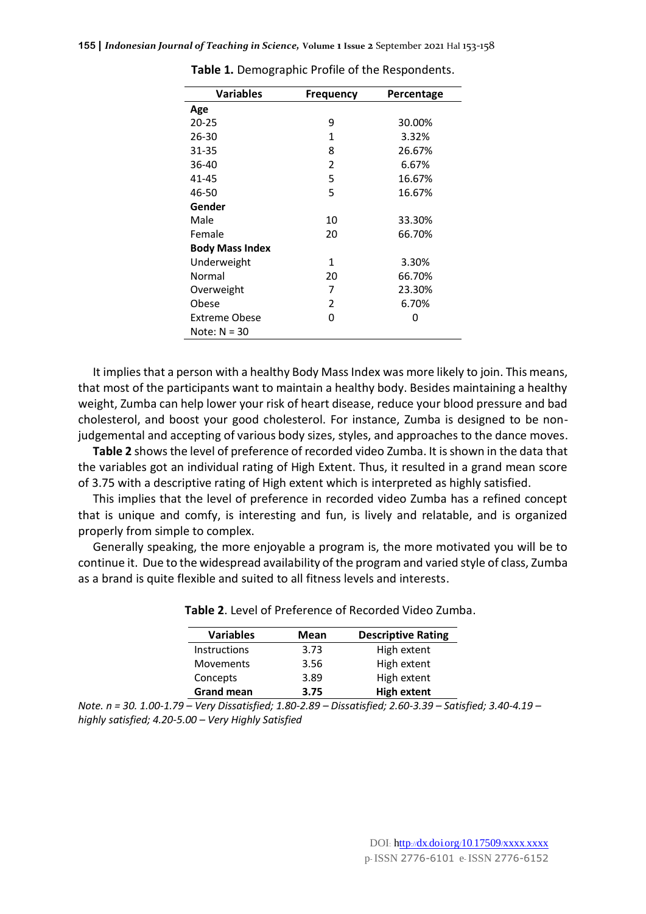| <b>Variables</b>       | <b>Frequency</b> | Percentage |  |
|------------------------|------------------|------------|--|
| Age                    |                  |            |  |
| 20-25                  | 9                | 30.00%     |  |
| 26-30                  | 1                | 3.32%      |  |
| 31-35                  | 8                | 26.67%     |  |
| 36-40                  | 2                | 6.67%      |  |
| 41-45                  | 5                | 16.67%     |  |
| 46-50                  | 5                | 16.67%     |  |
| Gender                 |                  |            |  |
| Male                   | 10               | 33.30%     |  |
| Female                 | 20               | 66.70%     |  |
| <b>Body Mass Index</b> |                  |            |  |
| Underweight            | 1                | 3.30%      |  |
| Normal                 | 20               | 66.70%     |  |
| Overweight             | 7                | 23.30%     |  |
| Obese                  | 2                | 6.70%      |  |
| Extreme Obese          | O                | 0          |  |
| Note: $N = 30$         |                  |            |  |

**Table 1.** Demographic Profile of the Respondents.

It implies that a person with a healthy Body Mass Index was more likely to join. This means, that most of the participants want to maintain a healthy body. Besides maintaining a healthy weight, Zumba can help lower your risk of heart disease, reduce your blood pressure and bad cholesterol, and boost your good cholesterol. For instance, Zumba is designed to be nonjudgemental and accepting of various body sizes, styles, and approaches to the dance moves.

**Table 2** shows the level of preference of recorded video Zumba. It is shown in the data that the variables got an individual rating of High Extent. Thus, it resulted in a grand mean score of 3.75 with a descriptive rating of High extent which is interpreted as highly satisfied.

This implies that the level of preference in recorded video Zumba has a refined concept that is unique and comfy, is interesting and fun, is lively and relatable, and is organized properly from simple to complex.

Generally speaking, the more enjoyable a program is, the more motivated you will be to continue it. Due to the widespread availability of the program and varied style of class, Zumba as a brand is quite flexible and suited to all fitness levels and interests.

| <b>Variables</b>    | Mean | <b>Descriptive Rating</b> |
|---------------------|------|---------------------------|
| <b>Instructions</b> | 3.73 | High extent               |
| Movements           | 3.56 | High extent               |
| Concepts            | 3.89 | High extent               |
| <b>Grand mean</b>   | 3.75 | <b>High extent</b>        |

**Table 2**. Level of Preference of Recorded Video Zumba.

*Note. n = 30. 1.00-1.79 – Very Dissatisfied; 1.80-2.89 – Dissatisfied; 2.60-3.39 – Satisfied; 3.40-4.19 – highly satisfied; 4.20-5.00 – Very Highly Satisfied*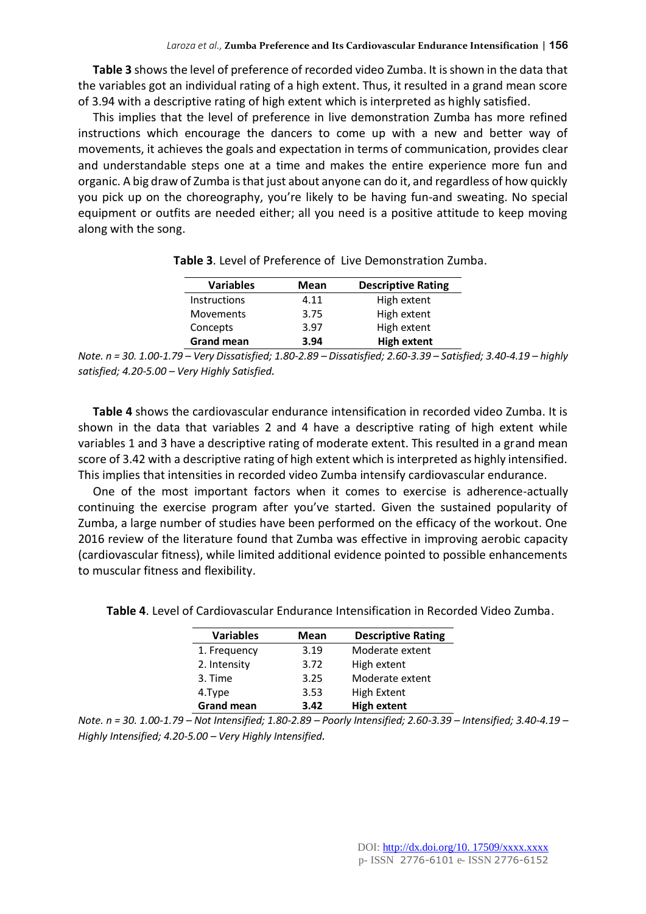**Table 3** shows the level of preference of recorded video Zumba. It is shown in the data that the variables got an individual rating of a high extent. Thus, it resulted in a grand mean score of 3.94 with a descriptive rating of high extent which is interpreted as highly satisfied.

This implies that the level of preference in live demonstration Zumba has more refined instructions which encourage the dancers to come up with a new and better way of movements, it achieves the goals and expectation in terms of communication, provides clear and understandable steps one at a time and makes the entire experience more fun and organic. A big draw of Zumba is that just about anyone can do it, and regardless of how quickly you pick up on the choreography, you're likely to be having fun-and sweating. No special equipment or outfits are needed either; all you need is a positive attitude to keep moving along with the song.

| <b>Variables</b>    | Mean | <b>Descriptive Rating</b> |
|---------------------|------|---------------------------|
| <b>Instructions</b> | 4.11 | High extent               |
| Movements           | 3.75 | High extent               |
| Concepts            | 3.97 | High extent               |
| <b>Grand mean</b>   | 3.94 | <b>High extent</b>        |

**Table 3**. Level of Preference of Live Demonstration Zumba.

**Table 4** shows the cardiovascular endurance intensification in recorded video Zumba. It is shown in the data that variables 2 and 4 have a descriptive rating of high extent while variables 1 and 3 have a descriptive rating of moderate extent. This resulted in a grand mean score of 3.42 with a descriptive rating of high extent which is interpreted as highly intensified. This implies that intensities in recorded video Zumba intensify cardiovascular endurance.

One of the most important factors when it comes to exercise is adherence-actually continuing the exercise program after you've started. Given the sustained popularity of Zumba, a large number of studies have been performed on the efficacy of the workout. One 2016 review of the literature found that Zumba was effective in improving aerobic capacity (cardiovascular fitness), while limited additional evidence pointed to possible enhancements to muscular fitness and flexibility.

| <b>Variables</b>  | Mean | <b>Descriptive Rating</b> |
|-------------------|------|---------------------------|
| 1. Frequency      | 3.19 | Moderate extent           |
| 2. Intensity      | 3.72 | High extent               |
| 3. Time           | 3.25 | Moderate extent           |
| 4.Type            | 3.53 | <b>High Extent</b>        |
| <b>Grand mean</b> | 3.42 | <b>High extent</b>        |

**Table 4**. Level of Cardiovascular Endurance Intensification in Recorded Video Zumba.

*Note. n = 30. 1.00-1.79 – Not Intensified; 1.80-2.89 – Poorly Intensified; 2.60-3.39 – Intensified; 3.40-4.19 – Highly Intensified; 4.20-5.00 – Very Highly Intensified.*

*Note. n = 30. 1.00-1.79 – Very Dissatisfied; 1.80-2.89 – Dissatisfied; 2.60-3.39 – Satisfied; 3.40-4.19 – highly satisfied; 4.20-5.00 – Very Highly Satisfied.*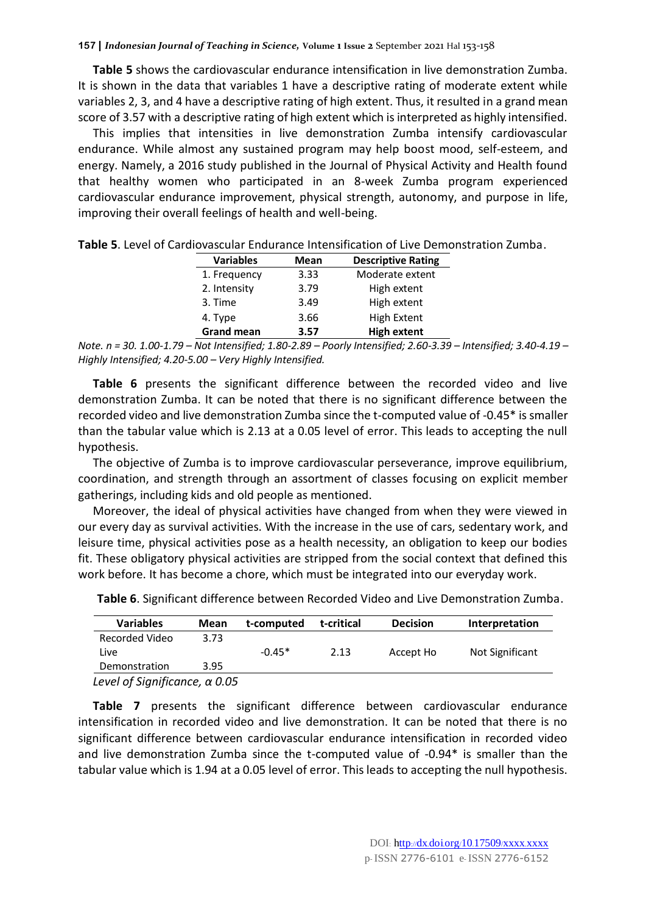**Table 5** shows the cardiovascular endurance intensification in live demonstration Zumba. It is shown in the data that variables 1 have a descriptive rating of moderate extent while variables 2, 3, and 4 have a descriptive rating of high extent. Thus, it resulted in a grand mean score of 3.57 with a descriptive rating of high extent which is interpreted as highly intensified.

This implies that intensities in live demonstration Zumba intensify cardiovascular endurance. While almost any sustained program may help boost mood, self-esteem, and energy. Namely, a 2016 study published in the Journal of Physical Activity and Health found that healthy women who participated in an 8-week Zumba program experienced cardiovascular endurance improvement, physical strength, autonomy, and purpose in life, improving their overall feelings of health and well-being.

| <b>Variables</b>  | <b>Mean</b> | <b>Descriptive Rating</b> |
|-------------------|-------------|---------------------------|
| 1. Frequency      | 3.33        | Moderate extent           |
| 2. Intensity      | 3.79        | High extent               |
| 3. Time           | 3.49        | High extent               |
| 4. Type           | 3.66        | <b>High Extent</b>        |
| <b>Grand mean</b> | 3.57        | <b>High extent</b>        |

**Table 5**. Level of Cardiovascular Endurance Intensification of Live Demonstration Zumba.

*Note. n = 30. 1.00-1.79 – Not Intensified; 1.80-2.89 – Poorly Intensified; 2.60-3.39 – Intensified; 3.40-4.19 – Highly Intensified; 4.20-5.00 – Very Highly Intensified.*

**Table 6** presents the significant difference between the recorded video and live demonstration Zumba. It can be noted that there is no significant difference between the recorded video and live demonstration Zumba since the t-computed value of -0.45\* is smaller than the tabular value which is 2.13 at a 0.05 level of error. This leads to accepting the null hypothesis.

The objective of Zumba is to improve cardiovascular perseverance, improve equilibrium, coordination, and strength through an assortment of classes focusing on explicit member gatherings, including kids and old people as mentioned.

Moreover, the ideal of physical activities have changed from when they were viewed in our every day as survival activities. With the increase in the use of cars, sedentary work, and leisure time, physical activities pose as a health necessity, an obligation to keep our bodies fit. These obligatory physical activities are stripped from the social context that defined this work before. It has become a chore, which must be integrated into our everyday work.

| <b>Variables</b>              | Mean | t-computed | t-critical | <b>Decision</b> | Interpretation  |
|-------------------------------|------|------------|------------|-----------------|-----------------|
|                               |      |            |            |                 |                 |
| Recorded Video                | 3.73 |            |            |                 |                 |
| Live                          |      | $-0.45*$   | 2.13       | Accept Ho       | Not Significant |
| Demonstration                 | 3.95 |            |            |                 |                 |
| Level of Significance, a 0.05 |      |            |            |                 |                 |

*Level of Significance, α 0.05*

**Table 7** presents the significant difference between cardiovascular endurance intensification in recorded video and live demonstration. It can be noted that there is no significant difference between cardiovascular endurance intensification in recorded video and live demonstration Zumba since the t-computed value of -0.94\* is smaller than the tabular value which is 1.94 at a 0.05 level of error. This leads to accepting the null hypothesis.